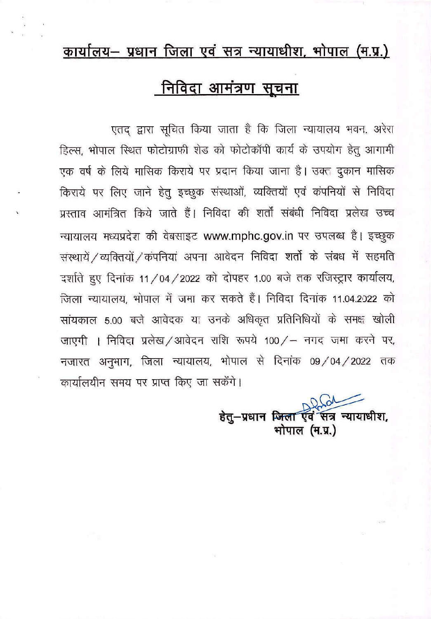## कार्यालय- प्रधान जिला एवं सत्र न्यायाधीश, भोपाल (म.प्र.)

## <u>निविदा आमंत्रण सूचना</u>

एतद् द्वारा सूचित किया जाता है कि जिला न्यायालय भवन, अरेरा हिल्स, भोपाल स्थित फोटोग्राफी शेड को फोटोकॉपी कार्य के उपयोग हेतु आगामी एक वर्ष के लिये मासिक किराये पर प्रदान किया जाना है। उक्त दुकान मासिक किराये पर लिए जाने हेतू इच्छुक संस्थाओं, व्यक्तियों एवं कंपनियों से निविदा प्रस्ताव आमंत्रित किये जाते हैं। निविदा की शर्तों संबंधी निविदा प्रलेख उच्च न्यायालय मध्यप्रदेश की वेबसाइट www.mphc.gov.in पर उपलब्ध है। इच्छुक संस्थायें / व्यक्तियों / कंपनियां अपना आवेदन निविदा शर्तो के संबध में सहमति दर्शाते हुए दिनांक 11/04/2022 को दोपहर 1.00 बजे तक रजिस्ट्रार कार्यालय, जिला न्यायालय, भोपाल में जमा कर सकते हैं। निविदा दिनांक 11.04.2022 को सांयकाल 5.00 बजे आवेदक या उनके अधिकृत प्रतिनिधियों के समक्ष खोली जाएगी । निविदा प्रलेख/आवेदन राशि रूपये 100/- नगद जमा करने पर, नजारत अनुभाग, जिला न्यायालय, भोपाल से दिनांक 09/04/2022 तक कार्यालयीन समय पर प्राप्त किए जा सकेंगे।

> हेतु-प्रधान जिला एवं सत्र न्यायाधीश, भोपाल (म.प्र.)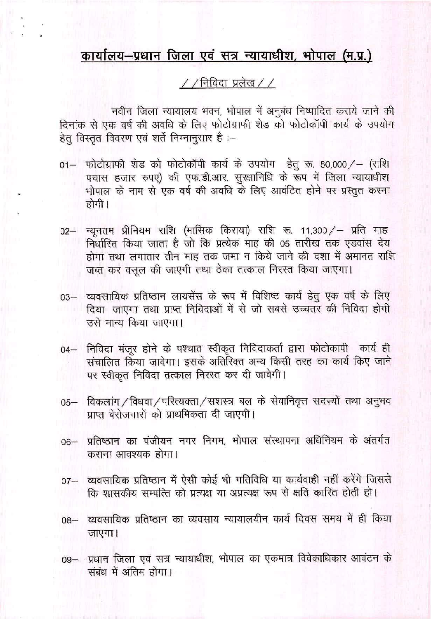## <u>कार्यालय–प्रधान जिला एवं सत्र न्यायाधीश, भोपाल (म.प्र.)</u>

## $\frac{1}{2}$ / निविदा प्रलेख / /

नवीन जिला न्यायालय भवन, भोपाल में अनुबंध निष्पादित कराये जाने की दिनांक से एक वर्ष की अवधि के लिए फोटोग्राफी शेड को फोटोकॉपी कार्य के उपयोग हेत् विस्तृत विवरण एवं शर्ते निम्नानुसार है :-

- फोटोग्राफी शेड को फोटोकॉपी कार्य के उपयोग हेतु रू. 50,000/- (राशि  $01 -$ पचास हजार रुपए) की एफ.डी.आर. सुरक्षानिधि के रूप में जिला न्यायाधीश भोपाल के नाम से एक वर्ष की अवधि के लिए आवंटित होने पर प्रस्तुत करना होगी।
- 02- न्यूनतम प्रीनियम राशि (मासिक किराया) राशि रू. 11,300/- प्रति माह निर्धारित किया जाता है जो कि प्रत्येक माह की 05 तारीख तक एडवांस देय होगा तथा लगातार तीन माह तक जमा न किये जाने की दशा में अमानत राशि जब्त कर वसल की जाएगी तथा ठेका तत्काल निरस्त किया जाएगा।
- 03– व्यवसायिक प्रतिष्ठान लायसेंस के रूप में विशिष्ट कार्य हेतु एक वर्ष के लिए दिया जाएगा तथा प्राप्त निविदाओं में से जो सबसे उच्चतर की निविदा होगी उसे नान्य किया जाएगा।
- 04– निविदा मंजूर होने के पश्चात स्वीकृत निविदाकर्ता द्वारा फोटोकापी कार्य ही संचालित किया जावेगा। इसके अतिरिक्त अन्य किसी तरह का कार्य किए जाने पर स्वीकृत निविदा तत्काल निरस्त कर दी जावेगी।
- 05- विकलांग / विधवा / परित्यक्ता / सशस्त्र बल के सेवानिवृत्त सदस्यों तथा अनुभव प्राप्त बेरोजनारों को प्राथमिकता दी जाएगी।
- 06- प्रतिष्ठान का पंजीयन नगर निगम, भोपाल संस्थापना अधिनियम के अंतर्गत कराना आवश्यक होगा।
- 07- व्यवसायिक प्रतिष्ठान में ऐसी कोई भी गतिविधि या कार्यवाही नहीं करेंगे जिससे कि शासकीय सम्पत्ति को प्रत्यक्ष या अप्रत्यक्ष रूप से क्षति कारित होती हो।
- 08- व्यवसायिक प्रतिष्ठान का व्यवसाय न्यायालयीन कार्य दिवस समय में ही किया जाएगा।
- 09- प्रधान जिला एवं सत्र न्यायाधीश, भोपाल का एकमात्र विवेकाधिकार आवंटन के संबंध में अंतिम होगा।